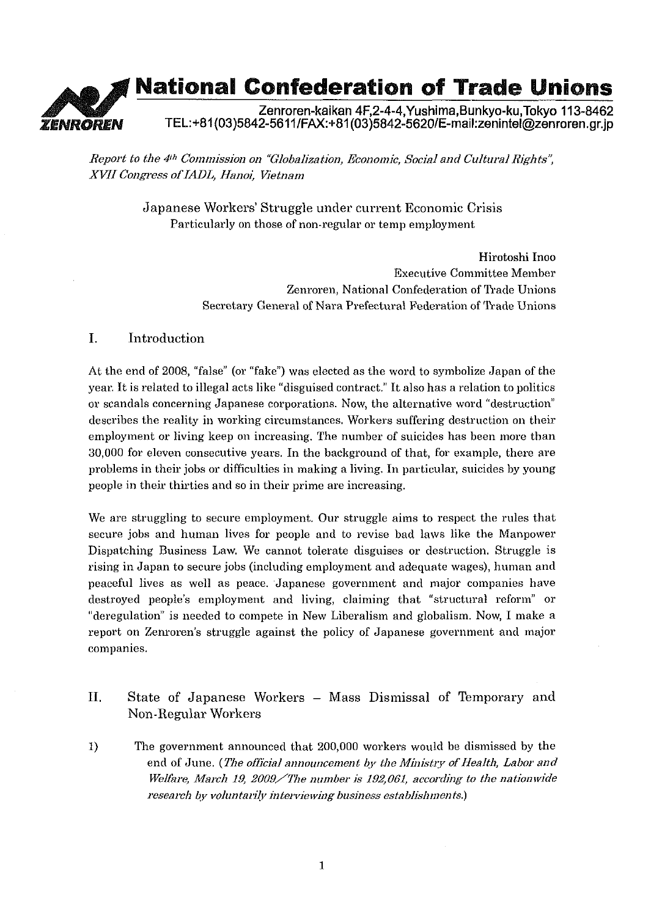## **National Confederation of Trade Unions** Zenroren-kaikan 4F,2-4-4, Yushima, Bunkyo-ku, Tokyo 113-8462 ZENROREN TEL:+81(03)5842-5611/FAX:+81(03)5842-5620/E-mail:zenintel@zenroren.gr.jp

*Report to the 4<sup>th</sup> Commission on "Globalization, Economic, Social and Cultural Rights", XWI Cor~gess ofIADL, Hanoi, Ketnam* 

> Japanese Workers' Struggle under current Economic Crisis Particularly on those of non-regular or temp employment

> > Hirotoshi Inoo Executive Committee Member Zenroren, National Confederation of Trade Unions Secretary General of Nara Prefectural Federation of Trade Unions

## I. Introduction

At the end of 2008, "false" (or "fake") was elected as the word to symbolize Japan of the year. It is related to illegal acts like "disguised contract." It also has a relation to politics or scandals concerning Japanese corporations. Now, the alternative word "destruction" describes the reality in working circumstances. Workers suffering destruction on their employment or living keep on increasing. The number of suicides has been more than 30,000 for eleven consecutive years. In the background of that, for example, there are problems in their jobs or difficulties in making a living. In particular, suicides by young people in their thirties and so in their prime are increasing.

We are struggling to secure employment. Our struggle aims to respect the rules that secure jobs and human lives for people and to revise bad laws like the Manpower Dispatching Business Law. We cannot tolerate disguises or destruction. Struggle is rising in Japan to secure jobs (including employment and adequate wages), human and peaceful lives as well as peace. Japanese government and major companies have destroyed people's employment and living, claiming that "structural reform" or "deregulation" is needed to compete in New Liberalism and globalism. Now, I make a report on Zemoren's struggle against the policy of Japanese government and major companies.

- 11. State of Japanese Workers Mass Dismissal of Temporary and Non-Regular Workers
- 1) The government announced that 200,000 workers would be dismissed by the end of June. (The official announcement by the Ministry of Health, Labor and *Welfare, Maidi 19, 2009/The number is 192,061, according to the nationwide research by voluntarily interviewing business establishments.*)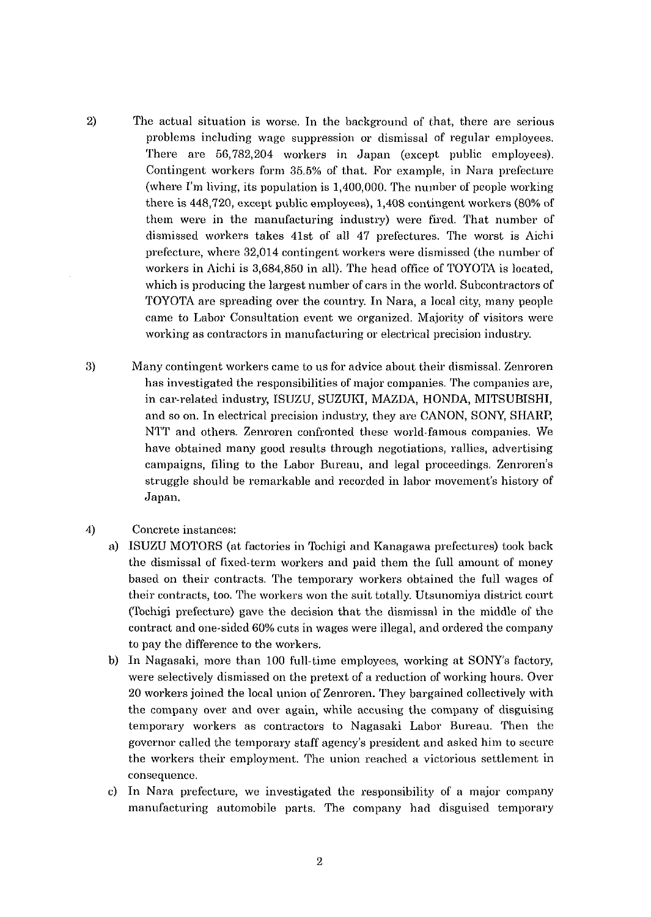2) The actual situation is worse. In the background of that, there are serious problems including wage suppression or dismissal of regular employees. There are 56,782,204 workers in Japan (except public employees). Contingent workers form 35.5% of that. For example, in Nara prefecture (where I'm living, its population is  $1,400,000$ . The number of people working there is 448,720, except public employees), 1,408 contingent workers (80% of them were in the manufacturing industry) were fired. That number of dismissed workers takes 41st of all 47 prefectures. The worst is Aichi prefecture, where 32,014 contingent workers were dismissed (the number of workers in Aichi is 3,684,850 in all). The head office of TOYOTA is located, which is producing the largest number of cars in the world. Subcontractors of TOYOTA are spreading over the country. In Nara, a local city, many people came to Labor Consultation event we organized. Majority of visitors were working as contractors in manufacturing or electrical precision industry.

- 3) Many contingent workers came to us for advice about their dismissal. Zenroren has investigated the responsibilities of major companies. The companies are, in car-related industry, ISUZU, SUZUICI, MAZDA, HONDA, MITSUBISHI, and so on. In electrical precision industry, they are CANON, SONY, SHARP, NTT and others. Zenroren confronted these world-famous companies. We have obtained many good results through negotiations, rallies, advertising campaigns, filing to the Labor Bureau, and legal proceedings. Zenroren's struggle should be remarkable and recorded in labor movement's history of Japan.
- 4) Concrete instances:
	- a) ISUZU MOTORS (at factories in Tochigi and Kanagawa prefectures) took back the dismissal of fixed-term workers and paid them the full amount of money based on their contracts. The temporary workers obtained the full wages of their contracts, too. The workers won the suit totally. Utsunomiya district court (Tochigi prefecture) gave the decision that the dismissal in the middle of the contract and one-sided 60% cuts in wages were illegal, and ordered the company to pay the difference to the workers.
	- b) In Nagasaki, more than 100 full-time employees, working at SONYs factory, were selectively dismissed on the pretext of a reduction of working hours. Over 20 workers joined the local union of Zenroren. They bargained collectively with the company over and over again, while accusing the company of disguising temporary workers as contractors to Nagasaki Labor Bureau. Then the governor called the temporary staff agency's president and asked him to secure the workers their employment. The union reached a victorious settlement in consequence.
	- c) In Nara prefecture, we investigated the responsibility of a major company manufacturing automobile parts. The company had disguised temporary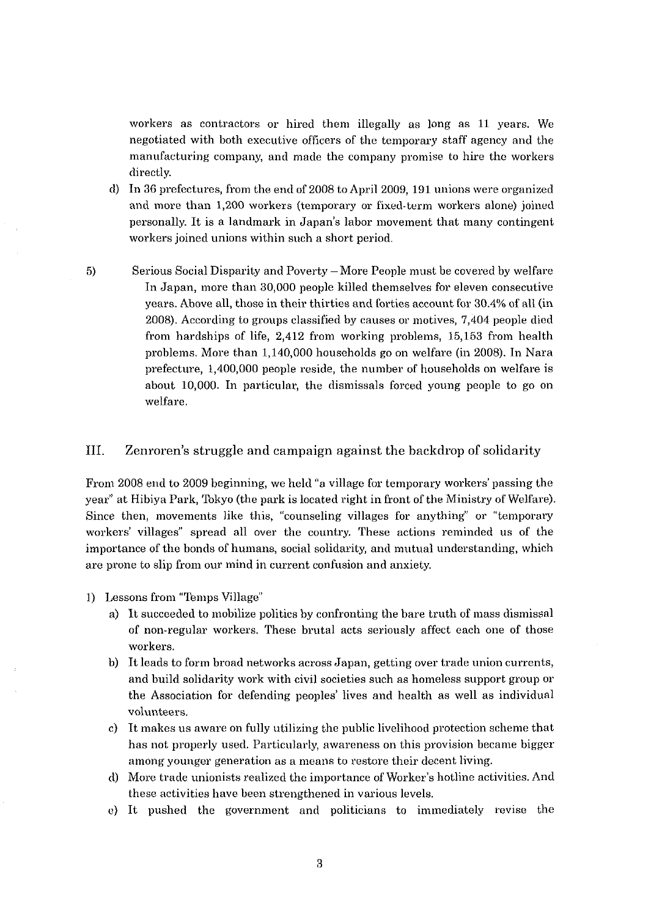workers as contractors or hired them illegally as long as 11 years. We negotiated with both executive officers of the temporary staff agency and the manufacturing company, and made the company promise to hire the workers directly.

- d) In 36 prefectures, from the end of 2008 to April 2009, 191 unions were organized and more than 1,200 workers (temporary or fixed-term workers alone) joined personally. It is a landmark in Japan's labor movement that many contingent workers joined unions within such a short period.
- 5) Serious Social Disparity and Poverty -More People must be covercd by welfare In Japan, more than 30,000 people killed themselves for eleven consecutive years. Above all, those in their thirties and forties account for 30.4% of all (in 2008). According to groups classified by causes or motives, 7,404 people died from hardships of life, 2,412 from working problems, 15,153 from health problems. More than 1,140,000 households go on welfare (in 2008). In Nara prefecture, 1,400,000 people reside, the number of households on welfare is about 10,000. In particular, the dismissals forced young people to go on welfare.

## 111. Zenroren's struggle and campaign against the backdrop of solidarity

Front 2008 end to 2009 beginning, we held "a village for temporary workers' passing the year" at Hibiya Park, Tokyo (the park is located right in front of the Ministry of Welfare) Since then, movements like this, "counseling villages for anything" or "temporary workers' villages" spread all over the country. These actions reminded us of the importance of the bonds of humans, social solidarity, and mutual understanding, which are prone to slip from our mind in current confusion and anxiety.

- 1) Lessons from "Temps Village"
	- a) It succeeded to mobilize politics by confronting the bare truth of mass dismissal of non-regular workers. These brutal acts seriously affect each one of those workers.
	- b) It leads to form broad networks across Japan, getting over trade union currents, and build solidarity work with civil societies such as homeless support group or the Association for defending peoples' lives and health as well as individual volunteers.
	- c) It makes us aware on fully utilizing the public livelihood protection scheme that has not properly used. Particularly, awareness on this provision became bigger among younger generation as a means to restore their decent living.
	- d) More trade unionists realized the importance of Worker's hotline activities. And these activities have been strengthened in various levels.
	- c) It pushed the government and politicians to immediately revise the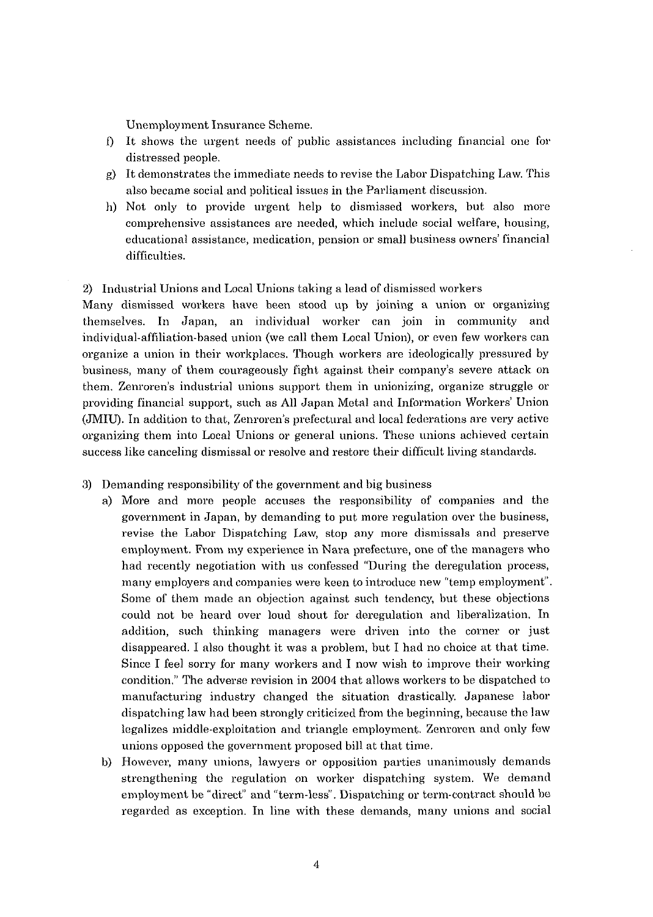Unemployment Insurance Scheme.

- $\mathbf{D}$ It shows the urgent needs of public assistances including financial one for distressed people.
- g) It demonstrates the immediate needs to revise the Labor Dispatching Law. This also became social and political issues in the Parliament discussion.
- 11) Not only to provide urgent help to dismissed workers, but also more comprehensive assistances are needed, which include social welfare, housing, educational assistance, medication, pension or small business owners' financial difficulties.

## 2) Industrial Unions and Local Unions taking a lead of dismissed workers

Many dismissed workers have been stood up by joining a union or organizing themselves. In Japan, an individual worker can join in community and individual-affiliation-based union (we call them Local Union), or even few workers can organize a union in their workplaces. Though workers are ideologically pressured by business, many of them courageously fight against their company's severe attack on them. Zenroren's industrial unions support them in unionizing, organize struggle or providing financial support, such as All Japan Metal and Information Workers' Union (JMIU). In addition to that, Zenroren's prefectural and local federations are very active organizing them into Local Unions or general unions. These unions achieved certain success like canceling dismissal or resolve and restore their difficult living standards.

- **3)** Demanding responsibility of the government and big business
	- a) More and more people accuses the responsibility of companies and the government in Japan, by demanding to put more regulation over the business, revise the Labor Dispatching Law, stop any more dismissals and preserve employment. From my experience in Nara prefecture, one of the managers who had recently negotiation with us confessed "During the deregulation process, many employers and companies were keen to introduce new "temp employment". Some of them made an objection against such tendency, but these objections could not be heard over loud shout for deregulation and liberalization. In addition, such thinking managers were driven into the corner or just disappeared. I also thought it was a problem, but I had no choice at that time. Since I feel sorry for many workers and I now wish to improve their working condition.'' The adverse revision in 2004 that allows workers to be dispatched to manufacturing industry changed the situation drastically, Japanese labor dispatching law had been strongly criticized from the beginning, because the law legalizes middle-exploitation and triangle employment. Zenroren and only few unions opposed the government proposed bill at that time.
	- b) However, many unions, lawyers or opposition parties unanimously demands strengthening the regulation on worker dispatching system. We demand employment be "direct" and "term-less". Dispatching or term-contract should bc regarded as exception. In line with these demands, many unions and social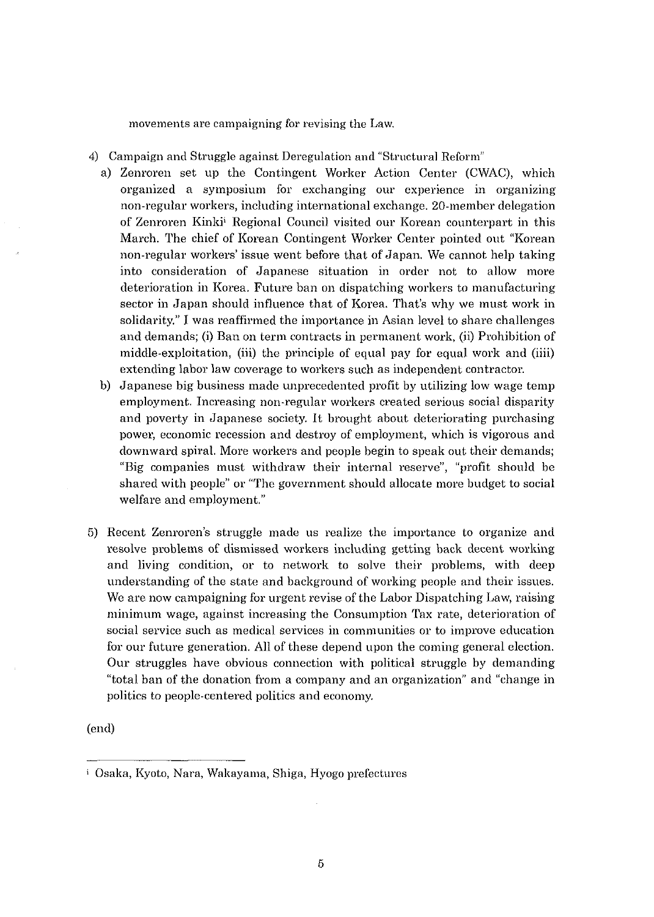movements are campaigning for revising the Law.

- **4)** Campaign and Struggle against Deregulation and "Structural Reform"
	- a) Zenroren set up the Contingent Worker Action Center (CWAC), which organized a symposium for exchanging our experience in organizing non-regular workers, including international exchange. 20-member delegation of Zenroren Kinki<sup>j</sup> Regional Council visited our Korean counterpart in this March. The chief of Korean Contingent Worker Center pointed out "Korean non-regular workers' issue went before that of Japan. We cannot help taking into consideration of Japanese situation in order not to allow more deterioration in Korea. Future ban on dispatching workers to manufacturing sector in Japan should influence that of Korea. That's why we must work in solidarity." I was reaffirmed the importance in Asian level to share challenges and demands; (i) Ban on term contracts in permanent work, (ii) Prohibition of middle-exploitation, (iii) the principle of equal pay for equal work and (iiii) extending labor law coverage to workers such as independent contractor.
	- b) Japanese big business made unprecedented profit by utilizing low wage temp employment. Increasing non-regular workers created serious social disparity and poverty in Japanese society. It brought about deteriorating purchasing power, economic recession and destroy of employment, which is vigorous and downward spiral. More workers and people begin to speak out their demands; "Big companies must withdraw their internal reserve", "profit should be shared with people" or "The government should allocate more budget to social welfare and employment."
- 5) Recent Zenroren's struggle made us realize the importance to organize and resolve problems of dismissed workers including getting back decent working and living condition, or to network to solve their problems, with deep understanding of the state and background of working people and their issues. We are now campaigning for urgent revise of the Labor Dispatching Law, raising minimum wage, against increasing the Consumption Tax rate, deterioration of social service such as medical services in communities or to improve education for our future generation. All of these depend upon the coming general election. Our struggles have obvious connection with political struggle by demanding "total ban of the donation from a company and an organization" and "change in politics to people-centered politics and economy.

(end)

**i** Osaka, Kyoto, Nara, Waltayama, Shiga, Hyogo prefectures